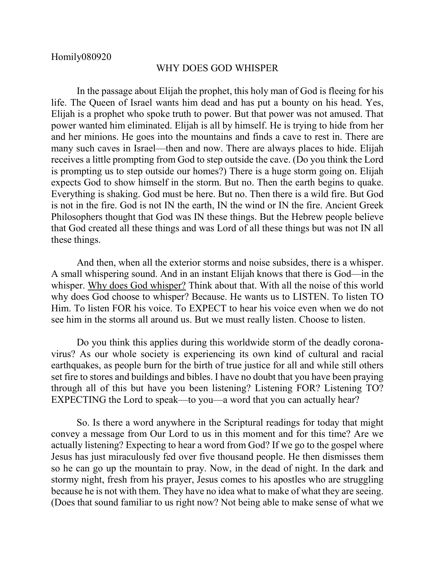## WHY DOES GOD WHISPER

In the passage about Elijah the prophet, this holy man of God is fleeing for his life. The Queen of Israel wants him dead and has put a bounty on his head. Yes, Elijah is a prophet who spoke truth to power. But that power was not amused. That power wanted him eliminated. Elijah is all by himself. He is trying to hide from her and her minions. He goes into the mountains and finds a cave to rest in. There are many such caves in Israel—then and now. There are always places to hide. Elijah receives a little prompting from God to step outside the cave. (Do you think the Lord is prompting us to step outside our homes?) There is a huge storm going on. Elijah expects God to show himself in the storm. But no. Then the earth begins to quake. Everything is shaking. God must be here. But no. Then there is a wild fire. But God is not in the fire. God is not IN the earth, IN the wind or IN the fire. Ancient Greek Philosophers thought that God was IN these things. But the Hebrew people believe that God created all these things and was Lord of all these things but was not IN all these things.

And then, when all the exterior storms and noise subsides, there is a whisper. A small whispering sound. And in an instant Elijah knows that there is God—in the whisper. Why does God whisper? Think about that. With all the noise of this world why does God choose to whisper? Because. He wants us to LISTEN. To listen TO Him. To listen FOR his voice. To EXPECT to hear his voice even when we do not see him in the storms all around us. But we must really listen. Choose to listen.

Do you think this applies during this worldwide storm of the deadly coronavirus? As our whole society is experiencing its own kind of cultural and racial earthquakes, as people burn for the birth of true justice for all and while still others set fire to stores and buildings and bibles. I have no doubt that you have been praying through all of this but have you been listening? Listening FOR? Listening TO? EXPECTING the Lord to speak—to you—a word that you can actually hear?

So. Is there a word anywhere in the Scriptural readings for today that might convey a message from Our Lord to us in this moment and for this time? Are we actually listening? Expecting to hear a word from God? If we go to the gospel where Jesus has just miraculously fed over five thousand people. He then dismisses them so he can go up the mountain to pray. Now, in the dead of night. In the dark and stormy night, fresh from his prayer, Jesus comes to his apostles who are struggling because he is not with them. They have no idea what to make of what they are seeing. (Does that sound familiar to us right now? Not being able to make sense of what we